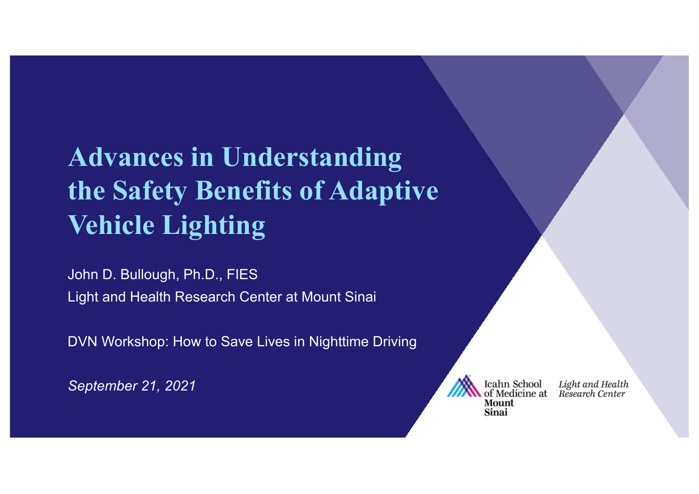# **Advances in Understanding the Safety Benefits of Adaptive Vehicle Lighting**

John D. Bullough, Ph.D., FIES Light and Health Research Center at Mount Sinai

DVN Workshop: How to Save Lives in Nighttime Driving

*September 21, 2021*



Light and Health<br>Research Center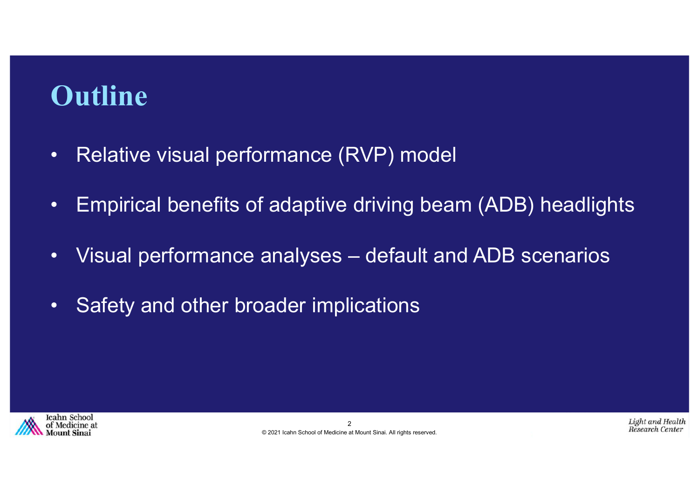## **Outline**

- Relative visual performance (RVP) model
- Empirical benefits of adaptive driving beam (ADB) headlights
- Visual performance analyses default and ADB scenarios
- Safety and other broader implications

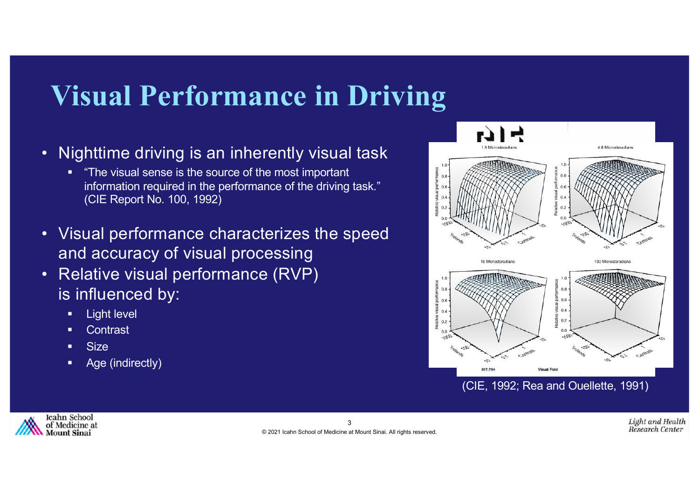# **Visual Performance in Driving**

- Nighttime driving is an inherently visual task
	- § "The visual sense is the source of the most important information required in the performance of the driving task." (CIE Report No. 100, 1992)
- Visual performance characterizes the speed and accuracy of visual processing
- Relative visual performance (RVP) is influenced by:
	- **•** Light level
	- Contrast
	- § Size
	- Age (indirectly)



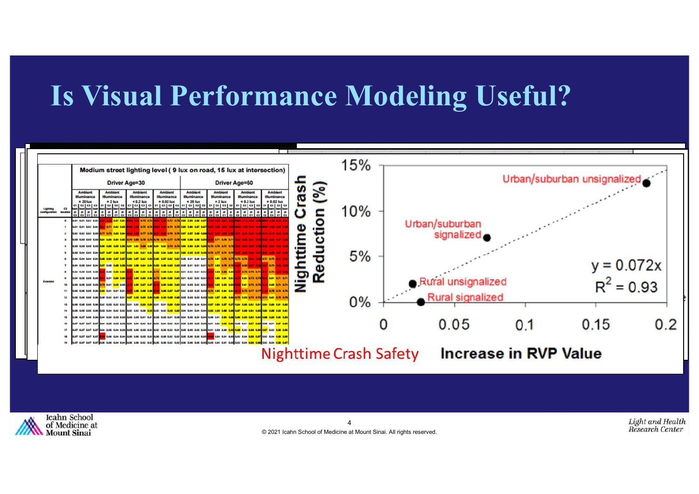### **Is Visual Performance Modeling Useful?**



© 2021 Icahn School of Medicine at Mount Sinai. All rights reserved.

**Mount Sinai**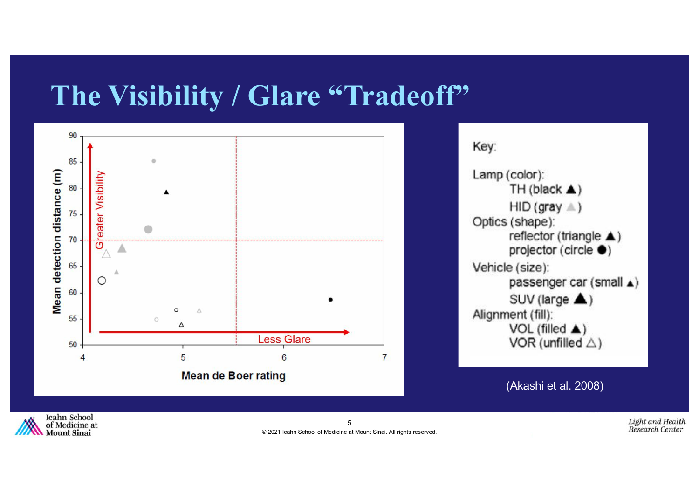#### **The Visibility / Glare "Tradeoff"**



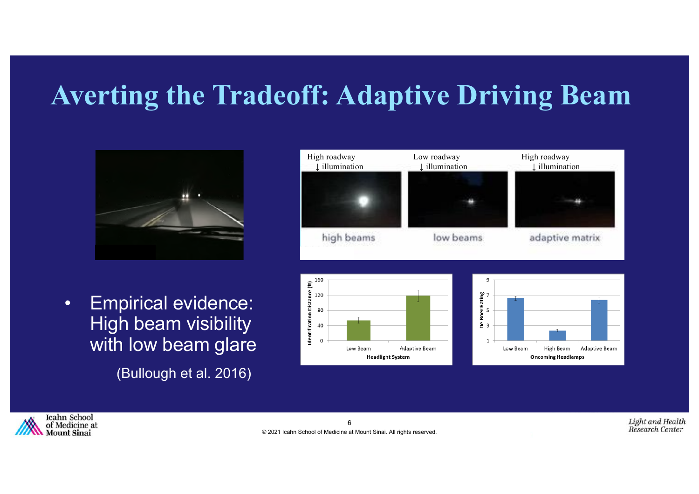## **Averting the Tradeoff: Adaptive Driving Beam**



• Empirical evidence: High beam visibility with low beam glare

(Bullough et al. 2016)







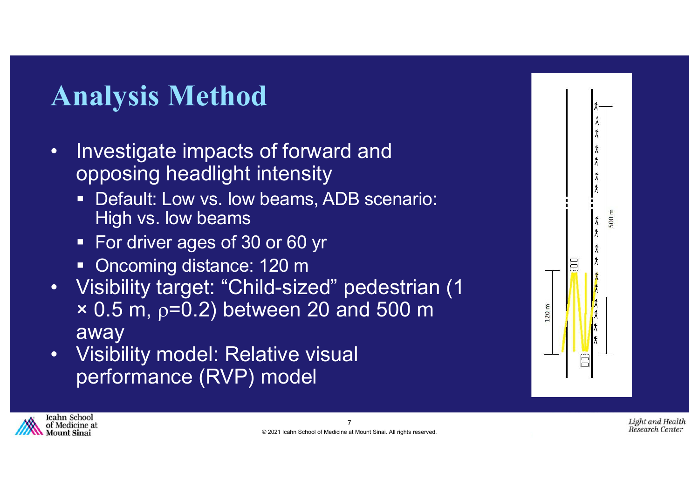# **Analysis Method**

- Investigate impacts of forward and opposing headlight intensity
	- **Default: Low vs. low beams, ADB scenario:** High vs. low beams
	- For driver ages of 30 or 60 yr
	- Oncoming distance: 120 m
- Visibility target: "Child-sized" pedestrian (1  $\times$  0.5 m,  $\rho$ =0.2) between 20 and 500 m away
- Visibility model: Relative visual performance (RVP) model



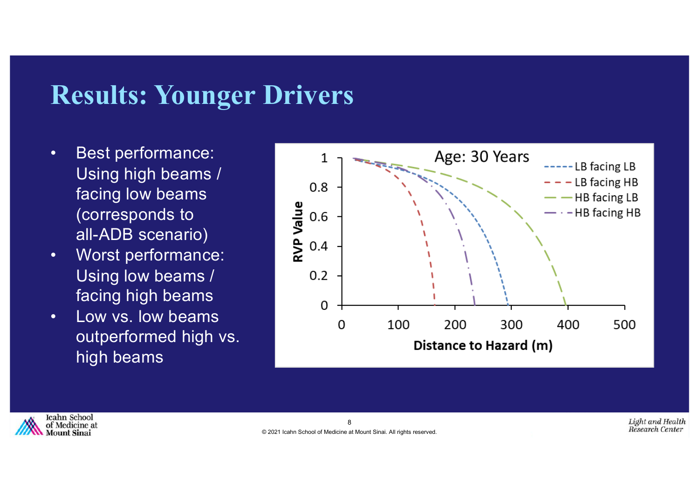#### **Results: Younger Drivers**

- Best performance: Using high beams / facing low beams (corresponds to all-ADB scenario)
- Worst performance: Using low beams / facing high beams
- Low vs. low beams outperformed high vs. high beams



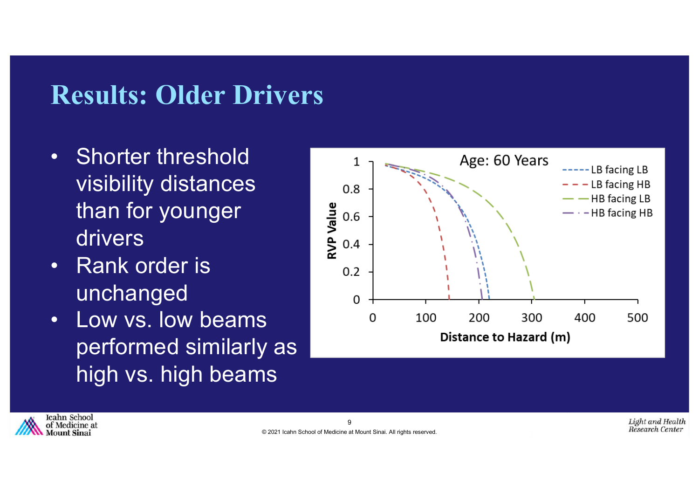### **Results: Older Drivers**

- Shorter threshold visibility distances than for younger drivers
- Rank order is unchanged
- Low vs. low beams performed similarly as high vs. high beams



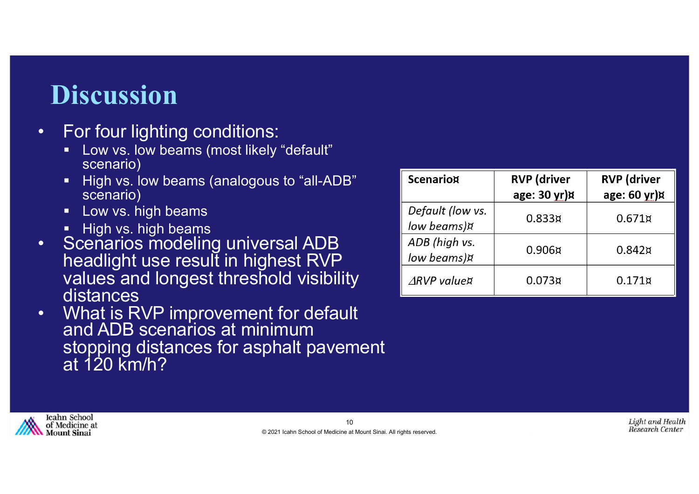### **Discussion**

- For four lighting conditions:
	- § Low vs. low beams (most likely "default" scenario)
	- **E** High vs. low beams (analogous to "all-ADB" scenario)
	- **E** Low vs. high beams
	- **E** High vs. high beams
- Scenarios modeling universal ADB headlight use result in highest RVP values and longest threshold visibility distances
- What is RVP improvement for default and ADB scenarios at minimum stopping distances for asphalt pavement at 120 km/h?

| <b>Scenariox</b>                | <b>RVP</b> (driver<br>age: 30 yr)¤ | <b>RVP</b> (driver<br>age: 60 yr)¤ |
|---------------------------------|------------------------------------|------------------------------------|
| Default (low vs.<br>low beams)¤ | 0.833 <sub>X</sub>                 | $0.671\alpha$                      |
| ADB (high vs.<br>low beams)¤    | 0.906 <sub>X</sub>                 | $0.842\alpha$                      |
| $\triangle$ RVP value¤          | 0.073 <sub>K</sub>                 | $0.171\alpha$                      |

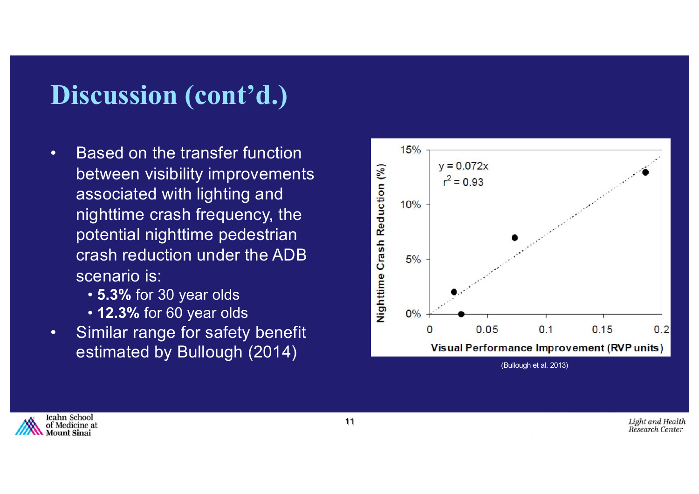### **Discussion (cont'd.)**

- Based on the transfer function between visibility improvements associated with lighting and nighttime crash frequency, the potential nighttime pedestrian crash reduction under the ADB scenario is:
	- **5.3%** for 30 year olds
	- **12.3%** for 60 year olds
- Similar range for safety benefit estimated by Bullough (2014)



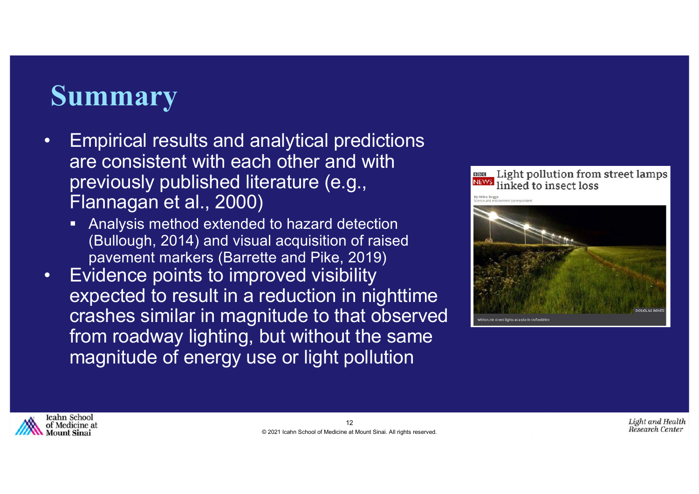## **Summary**

- Empirical results and analytical predictions are consistent with each other and with previously published literature (e.g., Flannagan et al., 2000)
	- Analysis method extended to hazard detection (Bullough, 2014) and visual acquisition of raised pavement markers (Barrette and Pike, 2019)
- Evidence points to improved visibility expected to result in a reduction in nighttime crashes similar in magnitude to that observed from roadway lighting, but without the same magnitude of energy use or light pollution



White LED street lights at a site in Oxfords



Light and Health Research Center